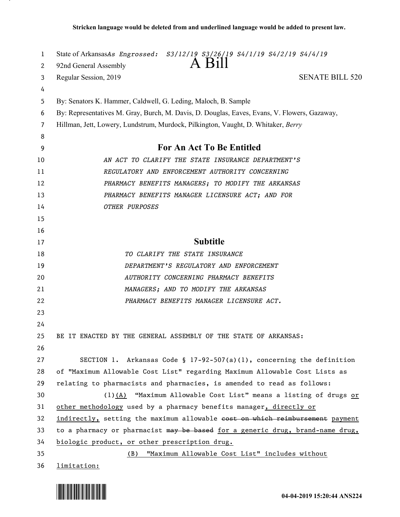| 1  | State of ArkansasAs Engrossed: S3/12/19 S3/26/19 S4/1/19 S4/2/19 S4/4/19                     |
|----|----------------------------------------------------------------------------------------------|
| 2  | A Bill<br>92nd General Assembly                                                              |
| 3  | <b>SENATE BILL 520</b><br>Regular Session, 2019                                              |
| 4  |                                                                                              |
| 5  | By: Senators K. Hammer, Caldwell, G. Leding, Maloch, B. Sample                               |
| 6  | By: Representatives M. Gray, Burch, M. Davis, D. Douglas, Eaves, Evans, V. Flowers, Gazaway, |
| 7  | Hillman, Jett, Lowery, Lundstrum, Murdock, Pilkington, Vaught, D. Whitaker, Berry            |
| 8  |                                                                                              |
| 9  | For An Act To Be Entitled                                                                    |
| 10 | AN ACT TO CLARIFY THE STATE INSURANCE DEPARTMENT'S                                           |
| 11 | REGULATORY AND ENFORCEMENT AUTHORITY CONCERNING                                              |
| 12 | PHARMACY BENEFITS MANAGERS; TO MODIFY THE ARKANSAS                                           |
| 13 | PHARMACY BENEFITS MANAGER LICENSURE ACT; AND FOR                                             |
| 14 | OTHER PURPOSES                                                                               |
| 15 |                                                                                              |
| 16 |                                                                                              |
| 17 | <b>Subtitle</b>                                                                              |
| 18 | TO CLARIFY THE STATE INSURANCE                                                               |
| 19 | DEPARTMENT'S REGULATORY AND ENFORCEMENT                                                      |
| 20 | AUTHORITY CONCERNING PHARMACY BENEFITS                                                       |
| 21 | MANAGERS; AND TO MODIFY THE ARKANSAS                                                         |
| 22 | PHARMACY BENEFITS MANAGER LICENSURE ACT.                                                     |
| 23 |                                                                                              |
| 24 |                                                                                              |
| 25 | BE IT ENACTED BY THE GENERAL ASSEMBLY OF THE STATE OF ARKANSAS:                              |
| 26 |                                                                                              |
| 27 | SECTION 1. Arkansas Code § 17-92-507(a)(1), concerning the definition                        |
| 28 | of "Maximum Allowable Cost List" regarding Maximum Allowable Cost Lists as                   |
| 29 | relating to pharmacists and pharmacies, is amended to read as follows:                       |
| 30 | $(1)$ (A) "Maximum Allowable Cost List" means a listing of drugs or                          |
| 31 | other methodology used by a pharmacy benefits manager, directly or                           |
| 32 | indirectly, setting the maximum allowable cost on which reimbursement payment                |
| 33 | to a pharmacy or pharmacist may be based for a generic drug, brand-name drug,                |
| 34 | biologic product, or other prescription drug.                                                |
| 35 | "Maximum Allowable Cost List" includes without<br>(B)                                        |
| 36 | limitation:                                                                                  |

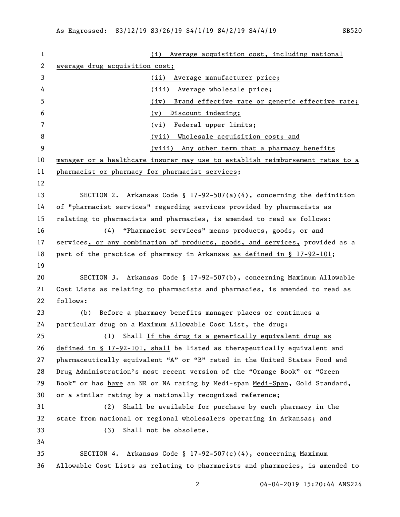|                                | Average acquisition cost, including national<br>(i)                           |
|--------------------------------|-------------------------------------------------------------------------------|
| average drug acquisition cost; |                                                                               |
|                                | Average manufacturer price;<br>(ii)                                           |
|                                | (iii) Average wholesale price;                                                |
|                                | Brand effective rate or generic effective rate;<br>(iv)                       |
|                                | (v)<br>Discount indexing;                                                     |
|                                | Federal upper limits;<br>(vi)                                                 |
|                                | (vii) Wholesale acquisition cost; and                                         |
|                                | (viii) Any other term that a pharmacy benefits                                |
|                                | manager or a healthcare insurer may use to establish reimbursement rates to a |
|                                | pharmacist or pharmacy for pharmacist services;                               |
|                                |                                                                               |
|                                | SECTION 2. Arkansas Code § 17-92-507(a)(4), concerning the definition         |
|                                | of "pharmacist services" regarding services provided by pharmacists as        |
|                                | relating to pharmacists and pharmacies, is amended to read as follows:        |
| (4)                            | "Pharmacist services" means products, goods, or and                           |
|                                | services, or any combination of products, goods, and services, provided as a  |
|                                | part of the practice of pharmacy in Arkansas as defined in § 17-92-101;       |
|                                |                                                                               |
|                                | SECTION 3. Arkansas Code § 17-92-507(b), concerning Maximum Allowable         |
|                                | Cost Lists as relating to pharmacists and pharmacies, is amended to read as   |
| follows:                       |                                                                               |
| (b)                            | Before a pharmacy benefits manager places or continues a                      |
|                                | particular drug on a Maximum Allowable Cost List, the drug:                   |
|                                | (1) Shall If the drug is a generically equivalent drug as                     |
|                                | defined in § 17-92-101, shall be listed as therapeutically equivalent and     |
|                                | pharmaceutically equivalent "A" or "B" rated in the United States Food and    |
|                                | Drug Administration's most recent version of the "Orange Book" or "Green      |
|                                | Book" or has have an NR or NA rating by Medi-span Medi-Span, Gold Standard,   |
|                                | or a similar rating by a nationally recognized reference;                     |
| (2)                            | Shall be available for purchase by each pharmacy in the                       |
|                                | state from national or regional wholesalers operating in Arkansas; and        |
| (3)                            | Shall not be obsolete.                                                        |
|                                |                                                                               |
|                                | SECTION 4. Arkansas Code § 17-92-507(c)(4), concerning Maximum                |
|                                | Allowable Cost Lists as relating to pharmacists and pharmacies, is amended to |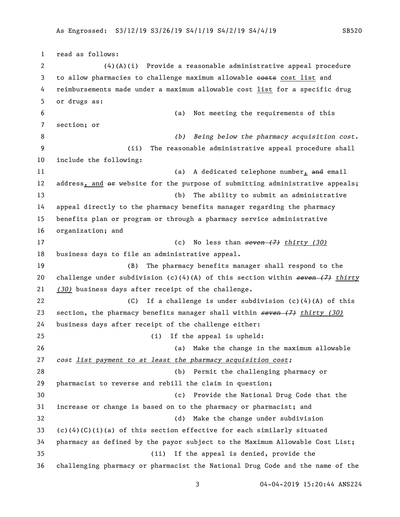read as follows: (4)(A)(i) Provide a reasonable administrative appeal procedure 3 to allow pharmacies to challenge maximum allowable costs cost list and reimbursements made under a maximum allowable cost list for a specific drug or drugs as: (a) Not meeting the requirements of this section; or *(b) Being below the pharmacy acquisition cost.* (ii) The reasonable administrative appeal procedure shall include the following: 11 (a) A dedicated telephone number, and email 12 address, and  $\Theta$  website for the purpose of submitting administrative appeals; (b) The ability to submit an administrative appeal directly to the pharmacy benefits manager regarding the pharmacy benefits plan or program or through a pharmacy service administrative organization; and (c) No less than *seven (7) thirty (30)* business days to file an administrative appeal. (B) The pharmacy benefits manager shall respond to the challenge under subdivision (c)(4)(A) of this section within *seven (7) thirty (30)* business days after receipt of the challenge. (C) If a challenge is under subdivision (c)(4)(A) of this section, the pharmacy benefits manager shall within *seven (7) thirty (30)* business days after receipt of the challenge either: (i) If the appeal is upheld: (a) Make the change in the maximum allowable *cost list payment to at least the pharmacy acquisition cost;* (b) Permit the challenging pharmacy or pharmacist to reverse and rebill the claim in question; (c) Provide the National Drug Code that the increase or change is based on to the pharmacy or pharmacist; and (d) Make the change under subdivision 33 (c)(4)(C)(i)(a) of this section effective for each similarly situated pharmacy as defined by the payor subject to the Maximum Allowable Cost List; (ii) If the appeal is denied, provide the challenging pharmacy or pharmacist the National Drug Code and the name of the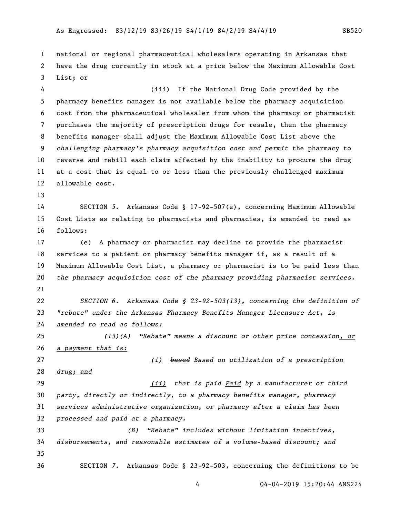national or regional pharmaceutical wholesalers operating in Arkansas that have the drug currently in stock at a price below the Maximum Allowable Cost List; or

 (iii) If the National Drug Code provided by the pharmacy benefits manager is not available below the pharmacy acquisition cost from the pharmaceutical wholesaler from whom the pharmacy or pharmacist purchases the majority of prescription drugs for resale, then the pharmacy benefits manager shall adjust the Maximum Allowable Cost List above the *challenging pharmacy's pharmacy acquisition cost and permit* the pharmacy to reverse and rebill each claim affected by the inability to procure the drug at a cost that is equal to or less than the previously challenged maximum allowable cost.

 SECTION *5*. Arkansas Code § 17-92-507(e), concerning Maximum Allowable Cost Lists as relating to pharmacists and pharmacies, is amended to read as follows:

 (e) A pharmacy or pharmacist may decline to provide the pharmacist services to a patient or pharmacy benefits manager if, as a result of a Maximum Allowable Cost List, a pharmacy or pharmacist is to be paid less than *the pharmacy acquisition cost of the pharmacy providing pharmacist services.* 

 *SECTION 6. Arkansas Code § 23-92-503(13), concerning the definition of "rebate" under the Arkansas Pharmacy Benefits Manager Licensure Act, is amended to read as follows:*

 *(13)(A) "Rebate" means a discount or other price concession, or a payment that is:*

 *(i) based Based on utilization of a prescription drug; and (ii) that is paid Paid by a manufacturer or third party, directly or indirectly, to a pharmacy benefits manager, pharmacy services administrative organization, or pharmacy after a claim has been processed and paid at a pharmacy.*

 *(B) "Rebate" includes without limitation incentives, disbursements, and reasonable estimates of a volume-based discount; and* SECTION *7*. Arkansas Code § 23-92-503, concerning the definitions to be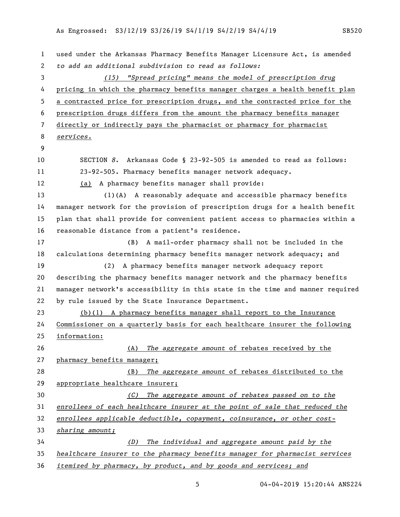used under the Arkansas Pharmacy Benefits Manager Licensure Act, is amended *to add an additional subdivision to read as follows: (15) "Spread pricing" means the model of prescription drug* pricing in which the pharmacy benefits manager charges a health benefit plan a contracted price for prescription drugs, and the contracted price for the prescription drugs differs from the amount the pharmacy benefits manager directly or indirectly pays the pharmacist or pharmacy for pharmacist *services.* SECTION *8*. Arkansas Code § 23-92-505 is amended to read as follows: 23-92-505. Pharmacy benefits manager network adequacy. (a) A pharmacy benefits manager shall provide: (1)(A) A reasonably adequate and accessible pharmacy benefits manager network for the provision of prescription drugs for a health benefit plan that shall provide for convenient patient access to pharmacies within a reasonable distance from a patient's residence. (B) A mail-order pharmacy shall not be included in the calculations determining pharmacy benefits manager network adequacy; and (2) A pharmacy benefits manager network adequacy report describing the pharmacy benefits manager network and the pharmacy benefits manager network's accessibility in this state in the time and manner required by rule issued by the State Insurance Department. (b)(1) A pharmacy benefits manager shall report to the Insurance Commissioner on a quarterly basis for each healthcare insurer the following information: (A) *The aggregate amount* of rebates received by the pharmacy benefits manager; (B) *The aggregate amount* of rebates distributed to the appropriate healthcare insurer; *(C) The aggregate amount of rebates passed on to the enrollees of each healthcare insurer at the point of sale that reduced the enrollees applicable deductible, copayment, coinsurance, or other cost- sharing amount; (D) The individual and aggregate amount paid by the healthcare insurer to the pharmacy benefits manager for pharmacist services itemized by pharmacy, by product, and by goods and services; and*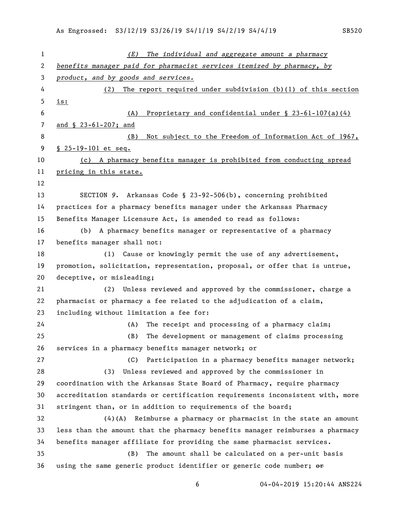*(E) The individual and aggregate amount a pharmacy benefits manager paid for pharmacist services itemized by pharmacy, by product, and by goods and services.* (2) The report required under subdivision (b)(1) of this section is: (A) Proprietary and confidential under § 23-61-107(a)(4) and § 23-61-207; and (B) Not subject to the Freedom of Information Act of 1967, § 25-19-101 et seq. (c) A pharmacy benefits manager is prohibited from conducting spread pricing in this state. SECTION *9*. Arkansas Code § 23-92-506(b), concerning prohibited practices for a pharmacy benefits manager under the Arkansas Pharmacy Benefits Manager Licensure Act, is amended to read as follows: (b) A pharmacy benefits manager or representative of a pharmacy benefits manager shall not: (1) Cause or knowingly permit the use of any advertisement, promotion, solicitation, representation, proposal, or offer that is untrue, deceptive, or misleading; (2) Unless reviewed and approved by the commissioner, charge a pharmacist or pharmacy a fee related to the adjudication of a claim, including without limitation a fee for: (A) The receipt and processing of a pharmacy claim; (B) The development or management of claims processing services in a pharmacy benefits manager network; or (C) Participation in a pharmacy benefits manager network; (3) Unless reviewed and approved by the commissioner in coordination with the Arkansas State Board of Pharmacy, require pharmacy accreditation standards or certification requirements inconsistent with, more stringent than, or in addition to requirements of the board; (4)(A) Reimburse a pharmacy or pharmacist in the state an amount less than the amount that the pharmacy benefits manager reimburses a pharmacy benefits manager affiliate for providing the same pharmacist services. (B) The amount shall be calculated on a per-unit basis 36 using the same generic product identifier or generic code number;  $\Theta$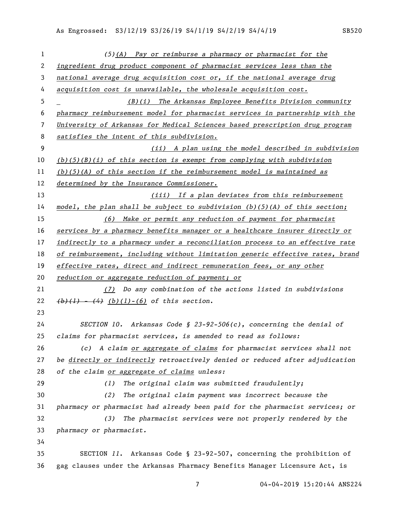| $\mathbf{1}$ | $(5)$ (A) Pay or reimburse a pharmacy or pharmacist for the                   |
|--------------|-------------------------------------------------------------------------------|
| 2            | ingredient drug product component of pharmacist services less than the        |
| 3            | national average drug acquisition cost or, if the national average drug       |
| 4            | acquisition cost is unavailable, the wholesale acquisition cost.              |
| 5            | (B)(i) The Arkansas Employee Benefits Division community                      |
| 6            | pharmacy reimbursement model for pharmacist services in partnership with the  |
| 7            | University of Arkansas for Medical Sciences based prescription drug program   |
| 8            | satisfies the intent of this subdivision.                                     |
| 9            | (ii) A plan using the model described in subdivision                          |
| 10           | $(b)(5)(B)(i)$ of this section is exempt from complying with subdivision      |
| 11           | $(b)(5)(A)$ of this section if the reimbursement model is maintained as       |
| 12           | determined by the Insurance Commissioner.                                     |
| 13           | (iii) If a plan deviates from this reimbursement                              |
| 14           | model, the plan shall be subject to subdivision $(b)(5)(A)$ of this section;  |
| 15           | (6) Make or permit any reduction of payment for pharmacist                    |
| 16           | services by a pharmacy benefits manager or a healthcare insurer directly or   |
| 17           | indirectly to a pharmacy under a reconciliation process to an effective rate  |
| 18           | of reimbursement, including without limitation generic effective rates, brand |
| 19           | effective rates, direct and indirect remuneration fees, or any other          |
| 20           | reduction or aggregate reduction of payment; or                               |
| 21           | (7) Do any combination of the actions listed in subdivisions                  |
| 22           | $(b)$ (1) - (4) (b)(1) - (6) of this section.                                 |
| 23           |                                                                               |
| 24           | SECTION 10. Arkansas Code § 23-92-506(c), concerning the denial of            |
| 25           | claims for pharmacist services, is amended to read as follows:                |
| 26           | (c) A claim <u>or aggregate of claims</u> for pharmacist services shall not   |
| 27           | be directly or indirectly retroactively denied or reduced after adjudication  |
| 28           | of the claim or aggregate of claims unless:                                   |
| 29           | The original claim was submitted fraudulently;<br>(1)                         |
| 30           | The original claim payment was incorrect because the<br>(2)                   |
| 31           | pharmacy or pharmacist had already been paid for the pharmacist services; or  |
| 32           | The pharmacist services were not properly rendered by the<br>(3)              |
| 33           | pharmacy or pharmacist.                                                       |
| 34           |                                                                               |
| 35           | SECTION 11. Arkansas Code § 23-92-507, concerning the prohibition of          |
| 36           | gag clauses under the Arkansas Pharmacy Benefits Manager Licensure Act, is    |